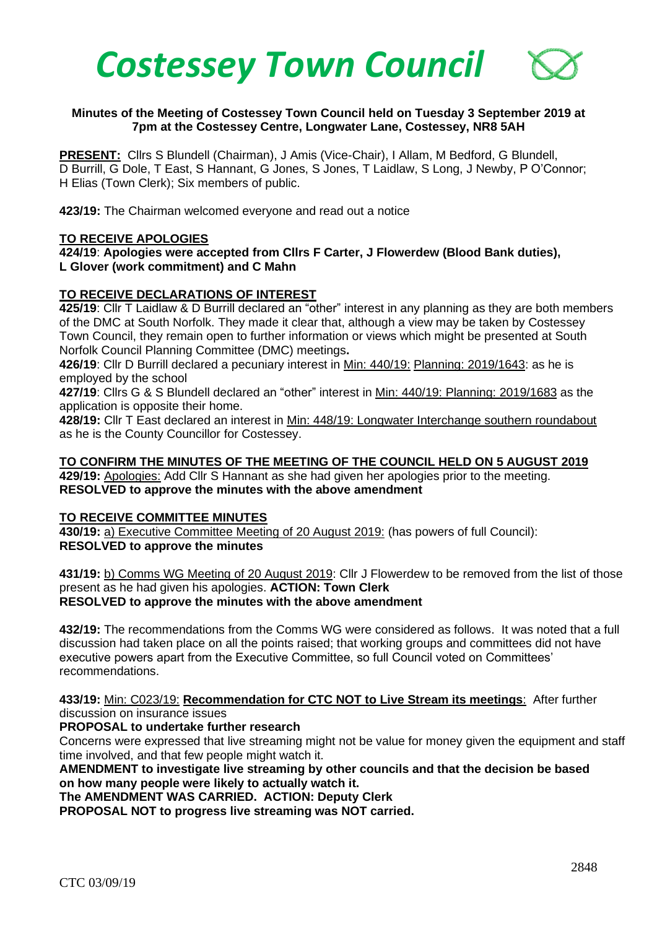

## **Minutes of the Meeting of Costessey Town Council held on Tuesday 3 September 2019 at 7pm at the Costessey Centre, Longwater Lane, Costessey, NR8 5AH**

**PRESENT:** Cllrs S Blundell (Chairman), J Amis (Vice-Chair), I Allam, M Bedford, G Blundell, D Burrill, G Dole, T East, S Hannant, G Jones, S Jones, T Laidlaw, S Long, J Newby, P O'Connor; H Elias (Town Clerk); Six members of public.

**423/19:** The Chairman welcomed everyone and read out a notice

## **TO RECEIVE APOLOGIES**

**424/19**: **Apologies were accepted from Cllrs F Carter, J Flowerdew (Blood Bank duties), L Glover (work commitment) and C Mahn**

## **TO RECEIVE DECLARATIONS OF INTEREST**

**425/19**: Cllr T Laidlaw & D Burrill declared an "other" interest in any planning as they are both members of the DMC at South Norfolk. They made it clear that, although a view may be taken by Costessey Town Council, they remain open to further information or views which might be presented at South Norfolk Council Planning Committee (DMC) meetings**.**

**426/19**: Cllr D Burrill declared a pecuniary interest in Min: 440/19: Planning: 2019/1643: as he is employed by the school

**427/19**: Cllrs G & S Blundell declared an "other" interest in Min: 440/19: Planning: 2019/1683 as the application is opposite their home.

**428/19:** Cllr T East declared an interest in Min: 448/19: Longwater Interchange southern roundabout as he is the County Councillor for Costessey.

#### **TO CONFIRM THE MINUTES OF THE MEETING OF THE COUNCIL HELD ON 5 AUGUST 2019**

**429/19:** Apologies: Add Cllr S Hannant as she had given her apologies prior to the meeting. **RESOLVED to approve the minutes with the above amendment**

#### **TO RECEIVE COMMITTEE MINUTES**

**430/19:** a) Executive Committee Meeting of 20 August 2019: (has powers of full Council): **RESOLVED to approve the minutes**

**431/19:** b) Comms WG Meeting of 20 August 2019: Cllr J Flowerdew to be removed from the list of those present as he had given his apologies. **ACTION: Town Clerk RESOLVED to approve the minutes with the above amendment**

**432/19:** The recommendations from the Comms WG were considered as follows. It was noted that a full discussion had taken place on all the points raised; that working groups and committees did not have executive powers apart from the Executive Committee, so full Council voted on Committees' recommendations.

## **433/19:** Min: C023/19: **Recommendation for CTC NOT to Live Stream its meetings**: After further discussion on insurance issues

## **PROPOSAL to undertake further research**

Concerns were expressed that live streaming might not be value for money given the equipment and staff time involved, and that few people might watch it.

**AMENDMENT to investigate live streaming by other councils and that the decision be based on how many people were likely to actually watch it.** 

**The AMENDMENT WAS CARRIED. ACTION: Deputy Clerk**

**PROPOSAL NOT to progress live streaming was NOT carried.**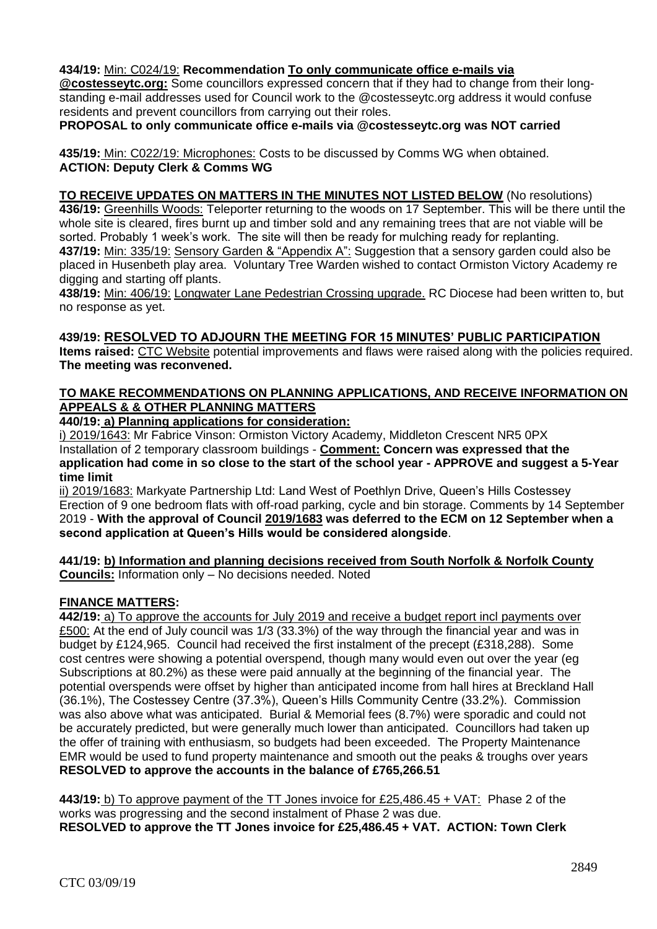## **434/19:** Min: C024/19: **Recommendation To only communicate office e-mails via**

**@costesseytc.org:** Some councillors expressed concern that if they had to change from their longstanding e-mail addresses used for Council work to the @costesseytc.org address it would confuse residents and prevent councillors from carrying out their roles.

**PROPOSAL to only communicate office e-mails via @costesseytc.org was NOT carried**

**435/19:** Min: C022/19: Microphones: Costs to be discussed by Comms WG when obtained. **ACTION: Deputy Clerk & Comms WG**

**TO RECEIVE UPDATES ON MATTERS IN THE MINUTES NOT LISTED BELOW** (No resolutions) **436/19:** Greenhills Woods: Teleporter returning to the woods on 17 September. This will be there until the whole site is cleared, fires burnt up and timber sold and any remaining trees that are not viable will be sorted. Probably 1 week's work. The site will then be ready for mulching ready for replanting. **437/19:** Min: 335/19: Sensory Garden & "Appendix A": Suggestion that a sensory garden could also be placed in Husenbeth play area. Voluntary Tree Warden wished to contact Ormiston Victory Academy re digging and starting off plants.

**438/19:** Min: 406/19: Longwater Lane Pedestrian Crossing upgrade. RC Diocese had been written to, but no response as yet.

#### **439/19: RESOLVED TO ADJOURN THE MEETING FOR 15 MINUTES' PUBLIC PARTICIPATION**

**Items raised:** CTC Website potential improvements and flaws were raised along with the policies required. **The meeting was reconvened.**

## **TO MAKE RECOMMENDATIONS ON PLANNING APPLICATIONS, AND RECEIVE INFORMATION ON APPEALS & & OTHER PLANNING MATTERS**

**440/19: a) Planning applications for consideration:**

i) 2019/1643: Mr Fabrice Vinson: Ormiston Victory Academy, Middleton Crescent NR5 0PX Installation of 2 temporary classroom buildings - **Comment: Concern was expressed that the application had come in so close to the start of the school year - APPROVE and suggest a 5-Year time limit** 

ii) 2019/1683: Markyate Partnership Ltd: Land West of Poethlyn Drive, Queen's Hills Costessey Erection of 9 one bedroom flats with off-road parking, cycle and bin storage. Comments by 14 September 2019 - **With the approval of Council 2019/1683 was deferred to the ECM on 12 September when a second application at Queen's Hills would be considered alongside**.

**441/19: b) Information and planning decisions received from South Norfolk & Norfolk County Councils:** Information only – No decisions needed. Noted

## **FINANCE MATTERS:**

**442/19:** a) To approve the accounts for July 2019 and receive a budget report incl payments over £500: At the end of July council was 1/3 (33.3%) of the way through the financial year and was in budget by £124,965. Council had received the first instalment of the precept (£318,288). Some cost centres were showing a potential overspend, though many would even out over the year (eg Subscriptions at 80.2%) as these were paid annually at the beginning of the financial year. The potential overspends were offset by higher than anticipated income from hall hires at Breckland Hall (36.1%), The Costessey Centre (37.3%), Queen's Hills Community Centre (33.2%). Commission was also above what was anticipated. Burial & Memorial fees (8.7%) were sporadic and could not be accurately predicted, but were generally much lower than anticipated. Councillors had taken up the offer of training with enthusiasm, so budgets had been exceeded. The Property Maintenance EMR would be used to fund property maintenance and smooth out the peaks & troughs over years **RESOLVED to approve the accounts in the balance of £765,266.51**

**443/19:** b) To approve payment of the TT Jones invoice for £25,486.45 + VAT: Phase 2 of the works was progressing and the second instalment of Phase 2 was due. **RESOLVED to approve the TT Jones invoice for £25,486.45 + VAT. ACTION: Town Clerk**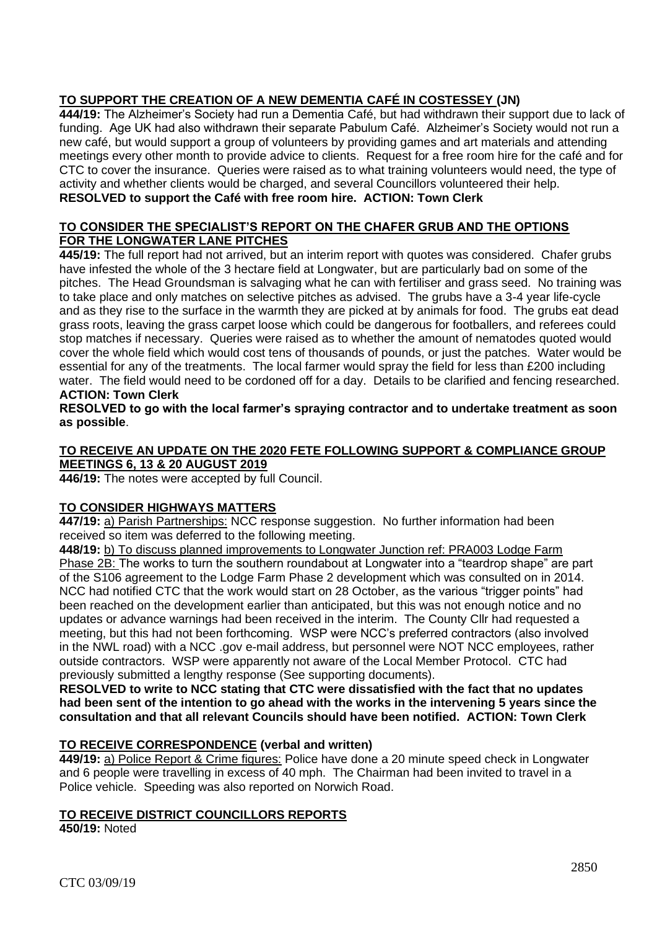# **TO SUPPORT THE CREATION OF A NEW DEMENTIA CAFÉ IN COSTESSEY (JN)**

**444/19:** The Alzheimer's Society had run a Dementia Café, but had withdrawn their support due to lack of funding. Age UK had also withdrawn their separate Pabulum Café. Alzheimer's Society would not run a new café, but would support a group of volunteers by providing games and art materials and attending meetings every other month to provide advice to clients. Request for a free room hire for the café and for CTC to cover the insurance. Queries were raised as to what training volunteers would need, the type of activity and whether clients would be charged, and several Councillors volunteered their help. **RESOLVED to support the Café with free room hire. ACTION: Town Clerk**

#### **TO CONSIDER THE SPECIALIST'S REPORT ON THE CHAFER GRUB AND THE OPTIONS FOR THE LONGWATER LANE PITCHES**

**445/19:** The full report had not arrived, but an interim report with quotes was considered. Chafer grubs have infested the whole of the 3 hectare field at Longwater, but are particularly bad on some of the pitches. The Head Groundsman is salvaging what he can with fertiliser and grass seed. No training was to take place and only matches on selective pitches as advised. The grubs have a 3-4 year life-cycle and as they rise to the surface in the warmth they are picked at by animals for food. The grubs eat dead grass roots, leaving the grass carpet loose which could be dangerous for footballers, and referees could stop matches if necessary. Queries were raised as to whether the amount of nematodes quoted would cover the whole field which would cost tens of thousands of pounds, or just the patches. Water would be essential for any of the treatments. The local farmer would spray the field for less than £200 including water. The field would need to be cordoned off for a day. Details to be clarified and fencing researched. **ACTION: Town Clerk**

**RESOLVED to go with the local farmer's spraying contractor and to undertake treatment as soon as possible**.

#### **TO RECEIVE AN UPDATE ON THE 2020 FETE FOLLOWING SUPPORT & COMPLIANCE GROUP MEETINGS 6, 13 & 20 AUGUST 2019**

**446/19:** The notes were accepted by full Council.

## **TO CONSIDER HIGHWAYS MATTERS**

**447/19:** a) Parish Partnerships: NCC response suggestion. No further information had been received so item was deferred to the following meeting.

**448/19:** b) To discuss planned improvements to Longwater Junction ref: PRA003 Lodge Farm Phase 2B: The works to turn the southern roundabout at Longwater into a "teardrop shape" are part of the S106 agreement to the Lodge Farm Phase 2 development which was consulted on in 2014. NCC had notified CTC that the work would start on 28 October, as the various "trigger points" had been reached on the development earlier than anticipated, but this was not enough notice and no updates or advance warnings had been received in the interim. The County Cllr had requested a meeting, but this had not been forthcoming. WSP were NCC's preferred contractors (also involved in the NWL road) with a NCC .gov e-mail address, but personnel were NOT NCC employees, rather outside contractors. WSP were apparently not aware of the Local Member Protocol. CTC had previously submitted a lengthy response (See supporting documents).

**RESOLVED to write to NCC stating that CTC were dissatisfied with the fact that no updates had been sent of the intention to go ahead with the works in the intervening 5 years since the consultation and that all relevant Councils should have been notified. ACTION: Town Clerk**

## **TO RECEIVE CORRESPONDENCE (verbal and written)**

**449/19:** a) Police Report & Crime figures: Police have done a 20 minute speed check in Longwater and 6 people were travelling in excess of 40 mph. The Chairman had been invited to travel in a Police vehicle. Speeding was also reported on Norwich Road.

## **TO RECEIVE DISTRICT COUNCILLORS REPORTS**

**450/19:** Noted